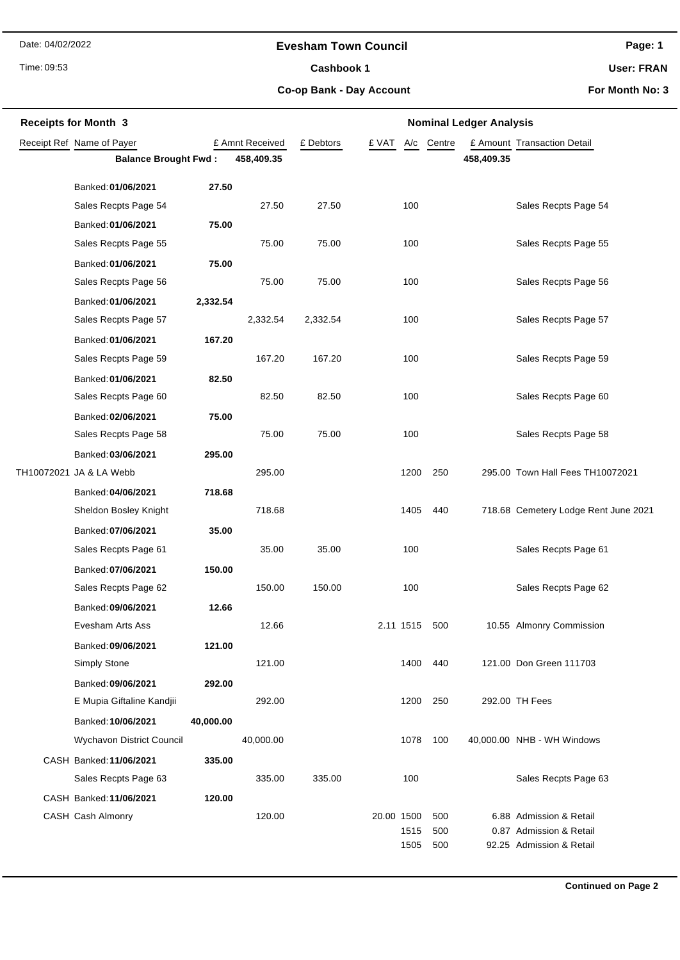Date: 04/02/2022

#### **Evesham Town Council**

Time: 09:53

Cashbook 1

**Page: 1**

**User: FRAN**

**Co-op Bank - Day Account**

**For Month No: 3**

| <b>Receipts for Month 3</b> |                             |           |                 | <b>Nominal Ledger Analysis</b> |                    |            |            |                                                    |  |  |
|-----------------------------|-----------------------------|-----------|-----------------|--------------------------------|--------------------|------------|------------|----------------------------------------------------|--|--|
|                             | Receipt Ref Name of Payer   |           | £ Amnt Received | £ Debtors                      | £ VAT<br>A/c       | Centre     |            | £ Amount Transaction Detail                        |  |  |
|                             | <b>Balance Brought Fwd:</b> |           | 458,409.35      |                                |                    |            | 458,409.35 |                                                    |  |  |
|                             | Banked: 01/06/2021          | 27.50     |                 |                                |                    |            |            |                                                    |  |  |
|                             | Sales Recpts Page 54        |           | 27.50           | 27.50                          | 100                |            |            | Sales Recpts Page 54                               |  |  |
|                             | Banked: 01/06/2021          | 75.00     |                 |                                |                    |            |            |                                                    |  |  |
|                             | Sales Recpts Page 55        |           | 75.00           | 75.00                          | 100                |            |            | Sales Recpts Page 55                               |  |  |
|                             | Banked: 01/06/2021          | 75.00     |                 |                                |                    |            |            |                                                    |  |  |
|                             | Sales Recpts Page 56        |           | 75.00           | 75.00                          | 100                |            |            | Sales Recpts Page 56                               |  |  |
|                             | Banked: 01/06/2021          | 2,332.54  |                 |                                |                    |            |            |                                                    |  |  |
|                             | Sales Recpts Page 57        |           | 2,332.54        | 2,332.54                       | 100                |            |            | Sales Recpts Page 57                               |  |  |
|                             | Banked: 01/06/2021          | 167.20    |                 |                                |                    |            |            |                                                    |  |  |
|                             | Sales Recpts Page 59        |           | 167.20          | 167.20                         | 100                |            |            | Sales Recpts Page 59                               |  |  |
|                             | Banked: 01/06/2021          | 82.50     |                 |                                |                    |            |            |                                                    |  |  |
|                             | Sales Recpts Page 60        |           | 82.50           | 82.50                          | 100                |            |            | Sales Recpts Page 60                               |  |  |
|                             | Banked: 02/06/2021          | 75.00     |                 |                                |                    |            |            |                                                    |  |  |
|                             | Sales Recpts Page 58        |           | 75.00           | 75.00                          | 100                |            |            | Sales Recpts Page 58                               |  |  |
|                             | Banked: 03/06/2021          | 295.00    |                 |                                |                    |            |            |                                                    |  |  |
|                             | TH10072021 JA & LA Webb     |           | 295.00          |                                | 1200               | 250        |            | 295.00 Town Hall Fees TH10072021                   |  |  |
|                             | Banked: 04/06/2021          | 718.68    |                 |                                |                    |            |            |                                                    |  |  |
|                             | Sheldon Bosley Knight       |           | 718.68          |                                | 1405               | 440        |            | 718.68 Cemetery Lodge Rent June 2021               |  |  |
|                             | Banked: 07/06/2021          | 35.00     |                 |                                |                    |            |            |                                                    |  |  |
|                             | Sales Recpts Page 61        |           | 35.00           | 35.00                          | 100                |            |            | Sales Recpts Page 61                               |  |  |
|                             | Banked: 07/06/2021          | 150.00    |                 |                                |                    |            |            |                                                    |  |  |
|                             | Sales Recpts Page 62        |           | 150.00          | 150.00                         | 100                |            |            | Sales Recpts Page 62                               |  |  |
|                             | Banked: 09/06/2021          | 12.66     |                 |                                |                    |            |            |                                                    |  |  |
|                             | Evesham Arts Ass            |           | 12.66           |                                | 2.11 1515 500      |            |            | 10.55 Almonry Commission                           |  |  |
|                             | Banked: 09/06/2021          | 121.00    |                 |                                |                    |            |            |                                                    |  |  |
|                             | Simply Stone                |           | 121.00          |                                | 1400               | 440        |            | 121.00 Don Green 111703                            |  |  |
|                             | Banked: 09/06/2021          | 292.00    |                 |                                |                    |            |            |                                                    |  |  |
|                             | E Mupia Giftaline Kandjii   |           | 292.00          |                                | 1200               | 250        |            | 292.00 TH Fees                                     |  |  |
|                             | Banked: 10/06/2021          | 40,000.00 |                 |                                |                    |            |            |                                                    |  |  |
|                             | Wychavon District Council   |           | 40,000.00       |                                | 1078               | 100        |            | 40,000.00 NHB - WH Windows                         |  |  |
|                             | CASH Banked: 11/06/2021     | 335.00    |                 |                                |                    |            |            |                                                    |  |  |
|                             | Sales Recpts Page 63        |           | 335.00          | 335.00                         | 100                |            |            | Sales Recpts Page 63                               |  |  |
|                             | CASH Banked: 11/06/2021     | 120.00    |                 |                                |                    |            |            |                                                    |  |  |
|                             | CASH Cash Almonry           |           | 120.00          |                                | 20.00 1500<br>1515 | 500<br>500 |            | 6.88 Admission & Retail<br>0.87 Admission & Retail |  |  |
|                             |                             |           |                 |                                | 1505               | 500        |            | 92.25 Admission & Retail                           |  |  |
|                             |                             |           |                 |                                |                    |            |            |                                                    |  |  |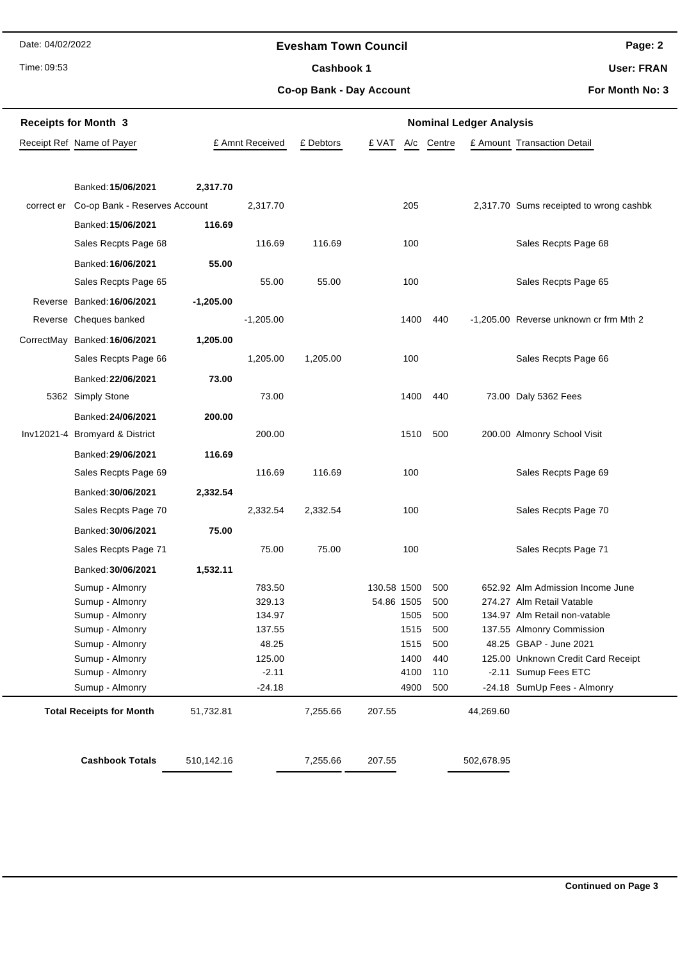Date: 04/02/2022

#### **Evesham Town Council**

Time: 09:53

# Cashbook 1

**Co-op Bank - Day Account**

**User: FRAN**

**Page: 2**

**For Month No: 3**

| <b>Receipts for Month 3</b> |                                 |             |                 | <b>Nominal Ledger Analysis</b> |              |        |            |                                         |  |  |
|-----------------------------|---------------------------------|-------------|-----------------|--------------------------------|--------------|--------|------------|-----------------------------------------|--|--|
|                             | Receipt Ref Name of Payer       |             | £ Amnt Received | £ Debtors                      | £ VAT<br>A/c | Centre |            | £ Amount Transaction Detail             |  |  |
|                             |                                 |             |                 |                                |              |        |            |                                         |  |  |
|                             | Banked: 15/06/2021              | 2,317.70    |                 |                                |              |        |            |                                         |  |  |
| correct er                  | Co-op Bank - Reserves Account   |             | 2,317.70        |                                | 205          |        |            | 2,317.70 Sums receipted to wrong cashbk |  |  |
|                             | Banked: 15/06/2021              | 116.69      |                 |                                |              |        |            |                                         |  |  |
|                             | Sales Recpts Page 68            |             | 116.69          | 116.69                         | 100          |        |            | Sales Recpts Page 68                    |  |  |
|                             | Banked: 16/06/2021              | 55.00       |                 |                                |              |        |            |                                         |  |  |
|                             | Sales Recpts Page 65            |             | 55.00           | 55.00                          | 100          |        |            | Sales Recpts Page 65                    |  |  |
|                             | Reverse Banked: 16/06/2021      | $-1,205.00$ |                 |                                |              |        |            |                                         |  |  |
|                             | Reverse Cheques banked          |             | $-1,205.00$     |                                | 1400         | 440    |            | -1,205.00 Reverse unknown cr frm Mth 2  |  |  |
|                             | CorrectMay Banked: 16/06/2021   | 1,205.00    |                 |                                |              |        |            |                                         |  |  |
|                             | Sales Recpts Page 66            |             | 1,205.00        | 1,205.00                       | 100          |        |            | Sales Recpts Page 66                    |  |  |
|                             | Banked: 22/06/2021              | 73.00       |                 |                                |              |        |            |                                         |  |  |
|                             | 5362 Simply Stone               |             | 73.00           |                                | 1400         | 440    |            | 73.00 Daly 5362 Fees                    |  |  |
|                             | Banked: 24/06/2021              | 200.00      |                 |                                |              |        |            |                                         |  |  |
|                             | Inv12021-4 Bromyard & District  |             | 200.00          |                                | 1510         | 500    |            | 200.00 Almonry School Visit             |  |  |
|                             | Banked: 29/06/2021              | 116.69      |                 |                                |              |        |            |                                         |  |  |
|                             | Sales Recpts Page 69            |             | 116.69          | 116.69                         | 100          |        |            | Sales Recpts Page 69                    |  |  |
|                             | Banked: 30/06/2021              | 2,332.54    |                 |                                |              |        |            |                                         |  |  |
|                             | Sales Recpts Page 70            |             | 2,332.54        | 2,332.54                       | 100          |        |            | Sales Recpts Page 70                    |  |  |
|                             | Banked: 30/06/2021              | 75.00       |                 |                                |              |        |            |                                         |  |  |
|                             | Sales Recpts Page 71            |             | 75.00           | 75.00                          | 100          |        |            | Sales Recpts Page 71                    |  |  |
|                             | Banked: 30/06/2021              | 1,532.11    |                 |                                |              |        |            |                                         |  |  |
|                             | Sumup - Almonry                 |             | 783.50          |                                | 130.58 1500  | 500    |            | 652.92 Alm Admission Income June        |  |  |
|                             | Sumup - Almonry                 |             | 329.13          |                                | 54.86 1505   | 500    |            | 274.27 Alm Retail Vatable               |  |  |
|                             | Sumup - Almonry                 |             | 134.97          |                                | 1505         | 500    |            | 134.97 Alm Retail non-vatable           |  |  |
|                             | Sumup - Almonry                 |             | 137.55          |                                | 1515         | 500    |            | 137.55 Almonry Commission               |  |  |
|                             | Sumup - Almonry                 |             | 48.25           |                                | 1515         | 500    |            | 48.25 GBAP - June 2021                  |  |  |
|                             | Sumup - Almonry                 |             | 125.00          |                                | 1400         | 440    |            | 125.00 Unknown Credit Card Receipt      |  |  |
|                             | Sumup - Almonry                 |             | $-2.11$         |                                | 4100         | 110    |            | -2.11 Sumup Fees ETC                    |  |  |
|                             | Sumup - Almonry                 |             | $-24.18$        |                                | 4900         | 500    |            | -24.18 SumUp Fees - Almonry             |  |  |
|                             | <b>Total Receipts for Month</b> | 51,732.81   |                 | 7,255.66                       | 207.55       |        | 44,269.60  |                                         |  |  |
|                             | <b>Cashbook Totals</b>          | 510,142.16  |                 | 7,255.66                       | 207.55       |        | 502,678.95 |                                         |  |  |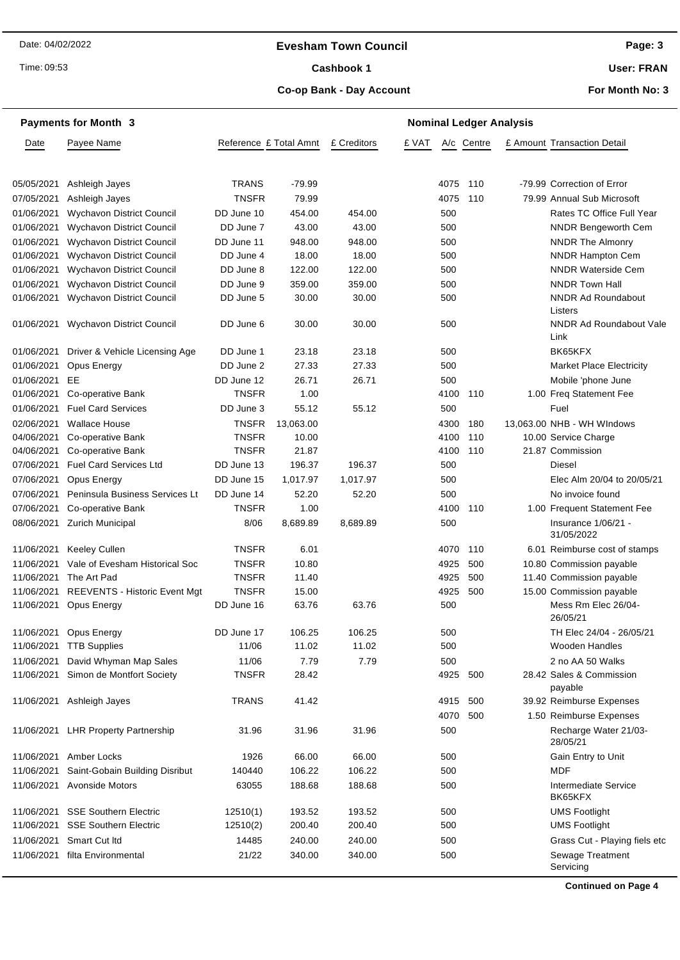#### **Evesham Town Council**

Time: 09:53

### Cashbook 1

**User: FRAN**

#### **Co-op Bank - Day Account**

**For Month No: 3**

|            | <b>Payments for Month 3</b>          |                        |                 |             | <b>Nominal Ledger Analysis</b> |      |            |  |                                      |
|------------|--------------------------------------|------------------------|-----------------|-------------|--------------------------------|------|------------|--|--------------------------------------|
| Date       | Payee Name                           | Reference £ Total Amnt |                 | £ Creditors | £ VAT                          |      | A/c Centre |  | £ Amount Transaction Detail          |
|            |                                      |                        |                 |             |                                |      |            |  |                                      |
| 05/05/2021 | Ashleigh Jayes                       | <b>TRANS</b>           | $-79.99$        |             |                                | 4075 | 110        |  | -79.99 Correction of Error           |
| 07/05/2021 | Ashleigh Jayes                       | <b>TNSFR</b>           | 79.99           |             |                                | 4075 | 110        |  | 79.99 Annual Sub Microsoft           |
| 01/06/2021 | <b>Wychavon District Council</b>     | DD June 10             | 454.00          | 454.00      |                                | 500  |            |  | Rates TC Office Full Year            |
| 01/06/2021 | Wychavon District Council            | DD June 7              | 43.00           | 43.00       |                                | 500  |            |  | <b>NNDR Bengeworth Cem</b>           |
| 01/06/2021 | Wychavon District Council            | DD June 11             | 948.00          | 948.00      |                                | 500  |            |  | <b>NNDR The Almonry</b>              |
| 01/06/2021 | Wychavon District Council            | DD June 4              | 18.00<br>122.00 | 18.00       |                                | 500  |            |  | <b>NNDR Hampton Cem</b>              |
| 01/06/2021 | Wychavon District Council            | DD June 8              |                 | 122.00      |                                | 500  |            |  | <b>NNDR Waterside Cem</b>            |
| 01/06/2021 | Wychavon District Council            | DD June 9              | 359.00          | 359.00      |                                | 500  |            |  | <b>NNDR Town Hall</b>                |
| 01/06/2021 | <b>Wychavon District Council</b>     | DD June 5              | 30.00           | 30.00       |                                | 500  |            |  | <b>NNDR Ad Roundabout</b><br>Listers |
| 01/06/2021 | <b>Wychavon District Council</b>     | DD June 6              | 30.00           | 30.00       |                                | 500  |            |  | NNDR Ad Roundabout Vale<br>Link      |
| 01/06/2021 | Driver & Vehicle Licensing Age       | DD June 1              | 23.18           | 23.18       |                                | 500  |            |  | BK65KFX                              |
| 01/06/2021 | Opus Energy                          | DD June 2              | 27.33           | 27.33       |                                | 500  |            |  | <b>Market Place Electricity</b>      |
| 01/06/2021 | EE                                   | DD June 12             | 26.71           | 26.71       |                                | 500  |            |  | Mobile 'phone June                   |
| 01/06/2021 | Co-operative Bank                    | <b>TNSFR</b>           | 1.00            |             |                                | 4100 | 110        |  | 1.00 Freq Statement Fee              |
| 01/06/2021 | <b>Fuel Card Services</b>            | DD June 3              | 55.12           | 55.12       |                                | 500  |            |  | Fuel                                 |
| 02/06/2021 | <b>Wallace House</b>                 | <b>TNSFR</b>           | 13,063.00       |             |                                | 4300 | 180        |  | 13,063.00 NHB - WH WIndows           |
| 04/06/2021 | Co-operative Bank                    | <b>TNSFR</b>           | 10.00           |             |                                | 4100 | 110        |  | 10.00 Service Charge                 |
| 04/06/2021 | Co-operative Bank                    | <b>TNSFR</b>           | 21.87           |             |                                | 4100 | 110        |  | 21.87 Commission                     |
| 07/06/2021 | <b>Fuel Card Services Ltd</b>        | DD June 13             | 196.37          | 196.37      |                                | 500  |            |  | <b>Diesel</b>                        |
| 07/06/2021 | Opus Energy                          | DD June 15             | 1,017.97        | 1,017.97    |                                | 500  |            |  | Elec Alm 20/04 to 20/05/21           |
| 07/06/2021 | Peninsula Business Services Lt       | DD June 14             | 52.20           | 52.20       |                                | 500  |            |  | No invoice found                     |
| 07/06/2021 | Co-operative Bank                    | <b>TNSFR</b>           | 1.00            |             |                                | 4100 | 110        |  | 1.00 Frequent Statement Fee          |
| 08/06/2021 | Zurich Municipal                     | 8/06                   | 8,689.89        | 8,689.89    |                                | 500  |            |  | Insurance 1/06/21 -<br>31/05/2022    |
| 11/06/2021 | <b>Keeley Cullen</b>                 | <b>TNSFR</b>           | 6.01            |             |                                | 4070 | 110        |  | 6.01 Reimburse cost of stamps        |
| 11/06/2021 | Vale of Evesham Historical Soc       | <b>TNSFR</b>           | 10.80           |             |                                | 4925 | 500        |  | 10.80 Commission payable             |
| 11/06/2021 | The Art Pad                          | <b>TNSFR</b>           | 11.40           |             |                                | 4925 | 500        |  | 11.40 Commission payable             |
| 11/06/2021 | REEVENTS - Historic Event Mgt        | <b>TNSFR</b>           | 15.00           |             |                                | 4925 | 500        |  | 15.00 Commission payable             |
| 11/06/2021 | Opus Energy                          | DD June 16             | 63.76           | 63.76       |                                | 500  |            |  | Mess Rm Elec 26/04-<br>26/05/21      |
| 11/06/2021 | Opus Energy                          | DD June 17             | 106.25          | 106.25      |                                | 500  |            |  | TH Elec 24/04 - 26/05/21             |
| 11/06/2021 | <b>TTB Supplies</b>                  | 11/06                  | 11.02           | 11.02       |                                | 500  |            |  | Wooden Handles                       |
| 11/06/2021 | David Whyman Map Sales               | 11/06                  | 7.79            | 7.79        |                                | 500  |            |  | 2 no AA 50 Walks                     |
|            | 11/06/2021 Simon de Montfort Society | <b>TNSFR</b>           | 28.42           |             |                                | 4925 | 500        |  | 28.42 Sales & Commission<br>payable  |
| 11/06/2021 | Ashleigh Jayes                       | <b>TRANS</b>           | 41.42           |             |                                | 4915 | 500        |  | 39.92 Reimburse Expenses             |
|            |                                      |                        |                 |             |                                | 4070 | 500        |  | 1.50 Reimburse Expenses              |
|            | 11/06/2021 LHR Property Partnership  | 31.96                  | 31.96           | 31.96       |                                | 500  |            |  | Recharge Water 21/03-<br>28/05/21    |
| 11/06/2021 | Amber Locks                          | 1926                   | 66.00           | 66.00       |                                | 500  |            |  | Gain Entry to Unit                   |
| 11/06/2021 | Saint-Gobain Building Disribut       | 140440                 | 106.22          | 106.22      |                                | 500  |            |  | <b>MDF</b>                           |
|            | 11/06/2021 Avonside Motors           | 63055                  | 188.68          | 188.68      |                                | 500  |            |  | Intermediate Service<br>BK65KFX      |
|            | 11/06/2021 SSE Southern Electric     | 12510(1)               | 193.52          | 193.52      |                                | 500  |            |  | <b>UMS Footlight</b>                 |
| 11/06/2021 | <b>SSE Southern Electric</b>         | 12510(2)               | 200.40          | 200.40      |                                | 500  |            |  | <b>UMS Footlight</b>                 |
| 11/06/2021 | Smart Cut Itd                        | 14485                  | 240.00          | 240.00      |                                | 500  |            |  | Grass Cut - Playing fiels etc        |
| 11/06/2021 | filta Environmental                  | 21/22                  | 340.00          | 340.00      |                                | 500  |            |  | Sewage Treatment                     |
|            |                                      |                        |                 |             |                                |      |            |  | Servicing                            |

**Continued on Page 4**

**Page: 3**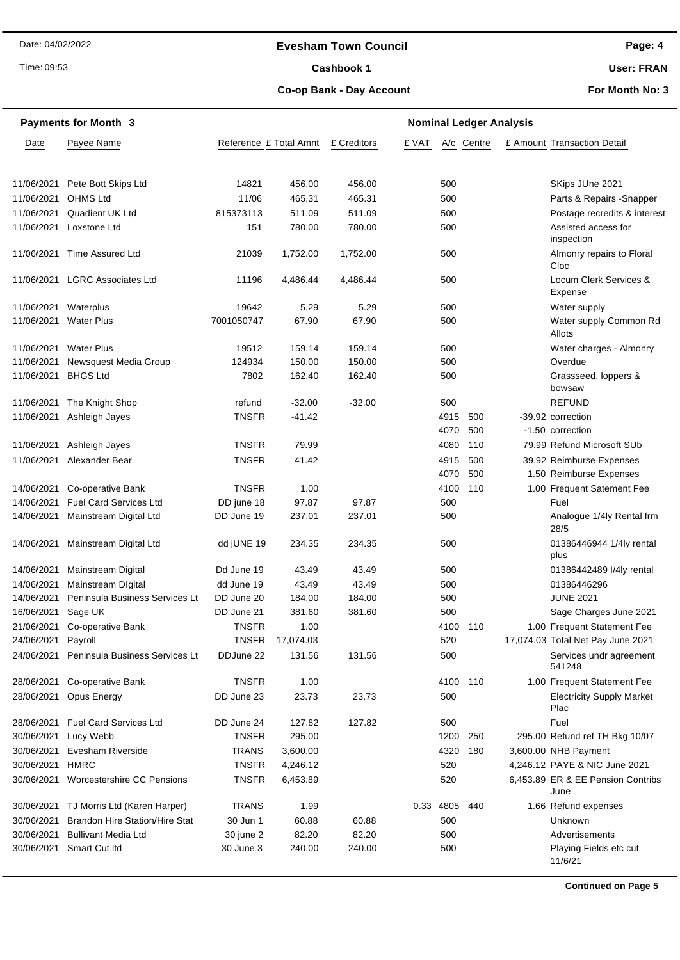#### **Evesham Town Council**

Time: 09:53

#### Cashbook 1

**Page: 4**

**User: FRAN**

#### **Co-op Bank - Day Account**

**For Month No: 3**

|                    | <b>Payments for Month 3</b>             |                        | <b>Nominal Ledger Analysis</b> |             |           |      |            |  |                                           |
|--------------------|-----------------------------------------|------------------------|--------------------------------|-------------|-----------|------|------------|--|-------------------------------------------|
| Date               | Payee Name                              | Reference £ Total Amnt |                                | £ Creditors | £ VAT     |      | A/c Centre |  | £ Amount Transaction Detail               |
|                    |                                         |                        |                                |             |           |      |            |  |                                           |
| 11/06/2021         | Pete Bott Skips Ltd                     | 14821                  | 456.00                         | 456.00      |           | 500  |            |  | SKips JUne 2021                           |
| 11/06/2021         | <b>OHMS Ltd</b>                         | 11/06                  | 465.31                         | 465.31      |           | 500  |            |  | Parts & Repairs - Snapper                 |
| 11/06/2021         | <b>Quadient UK Ltd</b>                  | 815373113              | 511.09                         | 511.09      |           | 500  |            |  | Postage recredits & interest              |
| 11/06/2021         | Loxstone Ltd                            | 151                    | 780.00                         | 780.00      |           | 500  |            |  | Assisted access for<br>inspection         |
|                    | 11/06/2021 Time Assured Ltd             | 21039                  | 1,752.00                       | 1,752.00    |           | 500  |            |  | Almonry repairs to Floral<br>Cloc         |
| 11/06/2021         | <b>LGRC Associates Ltd</b>              | 11196                  | 4,486.44                       | 4,486.44    |           | 500  |            |  | Locum Clerk Services &<br>Expense         |
| 11/06/2021         | Waterplus                               | 19642                  | 5.29                           | 5.29        |           | 500  |            |  | Water supply                              |
| 11/06/2021         | <b>Water Plus</b>                       | 7001050747             | 67.90                          | 67.90       |           | 500  |            |  | Water supply Common Rd<br>Allots          |
| 11/06/2021         | <b>Water Plus</b>                       | 19512                  | 159.14                         | 159.14      |           | 500  |            |  | Water charges - Almonry                   |
| 11/06/2021         | Newsquest Media Group                   | 124934                 | 150.00                         | 150.00      |           | 500  |            |  | Overdue                                   |
| 11/06/2021         | <b>BHGS Ltd</b>                         | 7802                   | 162.40                         | 162.40      |           | 500  |            |  | Grassseed, loppers &<br>bowsaw            |
| 11/06/2021         | The Knight Shop                         | refund                 | $-32.00$                       | $-32.00$    |           | 500  |            |  | <b>REFUND</b>                             |
| 11/06/2021         | Ashleigh Jayes                          | <b>TNSFR</b>           | $-41.42$                       |             |           | 4915 | 500        |  | -39.92 correction                         |
|                    |                                         |                        |                                |             |           | 4070 | 500        |  | -1.50 correction                          |
| 11/06/2021         | Ashleigh Jayes                          | <b>TNSFR</b>           | 79.99                          |             |           | 4080 | 110        |  | 79.99 Refund Microsoft SUb                |
|                    | 11/06/2021 Alexander Bear               | <b>TNSFR</b>           | 41.42                          |             |           | 4915 | 500        |  | 39.92 Reimburse Expenses                  |
|                    |                                         |                        |                                |             |           | 4070 | 500        |  | 1.50 Reimburse Expenses                   |
| 14/06/2021         | Co-operative Bank                       | <b>TNSFR</b>           | 1.00                           |             |           | 4100 | 110        |  | 1.00 Frequent Satement Fee                |
| 14/06/2021         | <b>Fuel Card Services Ltd</b>           | DD june 18             | 97.87                          | 97.87       |           | 500  |            |  | Fuel                                      |
| 14/06/2021         | Mainstream Digital Ltd                  | DD June 19             | 237.01                         | 237.01      |           | 500  |            |  | Analogue 1/4ly Rental frm<br>28/5         |
| 14/06/2021         | Mainstream Digital Ltd                  | dd jUNE 19             | 234.35                         | 234.35      |           | 500  |            |  | 01386446944 1/4ly rental<br>plus          |
| 14/06/2021         | Mainstream Digital                      | Dd June 19             | 43.49                          | 43.49       |           | 500  |            |  | 01386442489 I/4ly rental                  |
| 14/06/2021         | <b>Mainstream Digital</b>               | dd June 19             | 43.49                          | 43.49       |           | 500  |            |  | 01386446296                               |
| 14/06/2021         | Peninsula Business Services Lt          | DD June 20             | 184.00                         | 184.00      |           | 500  |            |  | <b>JUNE 2021</b>                          |
| 16/06/2021 Sage UK |                                         | DD June 21             | 381.60                         | 381.60      |           | 500  |            |  | Sage Charges June 2021                    |
|                    | 21/06/2021 Co-operative Bank            | <b>TNSFR</b>           | 1.00                           |             |           | 4100 | - 110      |  | 1.00 Frequent Statement Fee               |
| 24/06/2021         | Payroll                                 | <b>TNSFR</b>           | 17,074.03                      |             |           | 520  |            |  | 17,074.03 Total Net Pay June 2021         |
| 24/06/2021         | Peninsula Business Services Lt          | DDJune 22              | 131.56                         | 131.56      |           | 500  |            |  | Services undr agreement<br>541248         |
| 28/06/2021         | Co-operative Bank                       | <b>TNSFR</b>           | 1.00                           |             |           | 4100 | 110        |  | 1.00 Frequent Statement Fee               |
| 28/06/2021         | Opus Energy                             | DD June 23             | 23.73                          | 23.73       |           | 500  |            |  | <b>Electricity Supply Market</b><br>Plac  |
| 28/06/2021         | <b>Fuel Card Services Ltd</b>           | DD June 24             | 127.82                         | 127.82      |           | 500  |            |  | Fuel                                      |
| 30/06/2021         | Lucy Webb                               | <b>TNSFR</b>           | 295.00                         |             |           | 1200 | 250        |  | 295.00 Refund ref TH Bkg 10/07            |
| 30/06/2021         | Evesham Riverside                       | <b>TRANS</b>           | 3,600.00                       |             |           | 4320 | 180        |  | 3,600.00 NHB Payment                      |
| 30/06/2021 HMRC    |                                         | <b>TNSFR</b>           | 4,246.12                       |             |           | 520  |            |  | 4,246.12 PAYE & NIC June 2021             |
| 30/06/2021         | Worcestershire CC Pensions              | <b>TNSFR</b>           | 6,453.89                       |             |           | 520  |            |  | 6,453.89 ER & EE Pension Contribs<br>June |
|                    | 30/06/2021 TJ Morris Ltd (Karen Harper) | <b>TRANS</b>           | 1.99                           |             | 0.33 4805 |      | 440        |  | 1.66 Refund expenses                      |
| 30/06/2021         | <b>Brandon Hire Station/Hire Stat</b>   | 30 Jun 1               | 60.88                          | 60.88       |           | 500  |            |  | Unknown                                   |
| 30/06/2021         | <b>Bullivant Media Ltd</b>              | 30 june 2              | 82.20                          | 82.20       |           | 500  |            |  | Advertisements                            |
| 30/06/2021         | Smart Cut Itd                           | 30 June 3              | 240.00                         | 240.00      |           | 500  |            |  | Playing Fields etc cut<br>11/6/21         |

**Continued on Page 5**